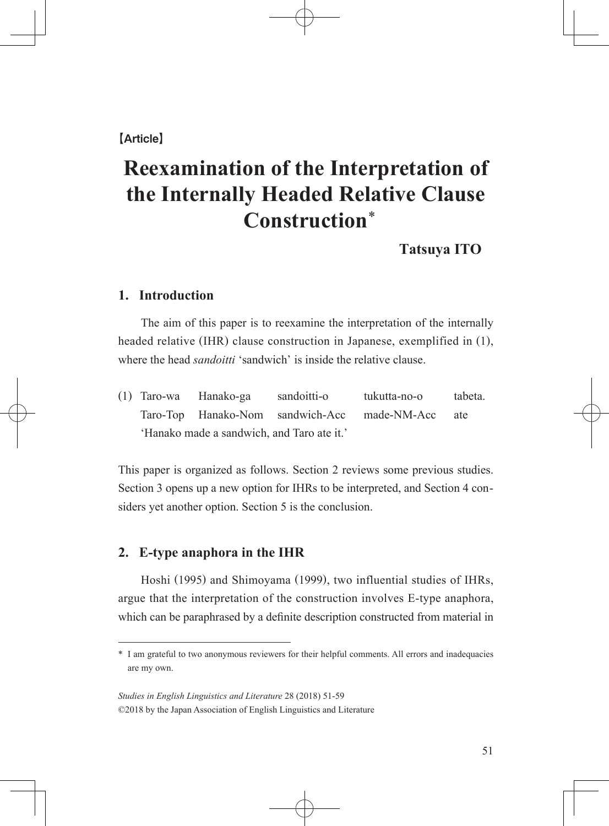## 【Article】

# **Reexamination of the Interpretation of the Internally Headed Relative Clause Construction** \*

**Tatsuya ITO**

## **1. Introduction**

 The aim of this paper is to reexamine the interpretation of the internally headed relative (IHR) clause construction in Japanese, exemplified in (1), where the head *sandoitti* 'sandwich' is inside the relative clause.

(1) Taro-wa Hanako-ga sandoitti-o tukutta-no-o tabeta. Taro-Top Hanako-Nom sandwich-Acc made-NM-Acc ate 'Hanako made a sandwich, and Taro ate it.'

This paper is organized as follows. Section 2 reviews some previous studies. Section 3 opens up a new option for IHRs to be interpreted, and Section 4 considers yet another option. Section 5 is the conclusion.

### **2. E-type anaphora in the IHR**

 Hoshi (1995) and Shimoyama (1999), two influential studies of IHRs, argue that the interpretation of the construction involves E-type anaphora, which can be paraphrased by a definite description constructed from material in

<sup>\*</sup> I am grateful to two anonymous reviewers for their helpful comments. All errors and inadequacies are my own.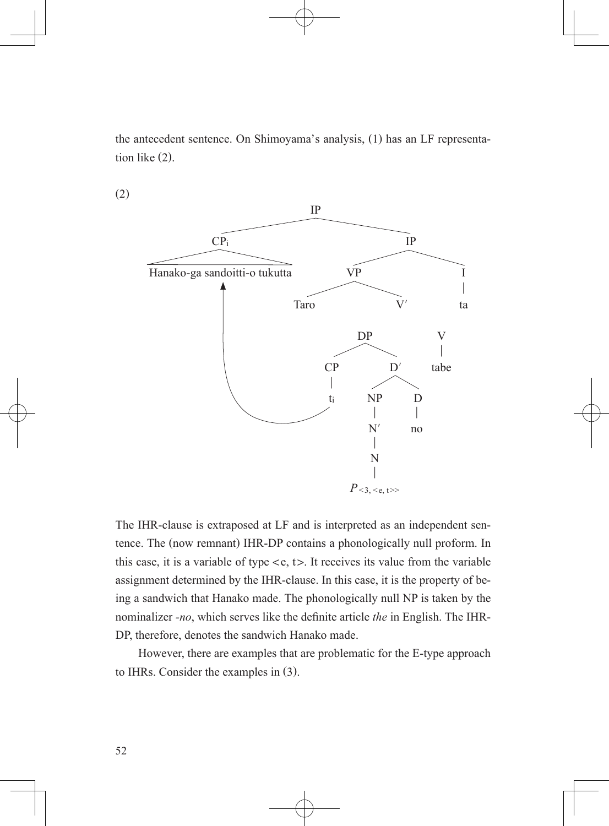the antecedent sentence. On Shimoyama's analysis, (1) has an LF representation like (2).



(2)

The IHR-clause is extraposed at LF and is interpreted as an independent sentence. The (now remnant) IHR-DP contains a phonologically null proform. In this case, it is a variable of type  $\langle e, t \rangle$ . It receives its value from the variable assignment determined by the IHR-clause. In this case, it is the property of being a sandwich that Hanako made. The phonologically null NP is taken by the nominalizer *-no*, which serves like the definite article *the* in English. The IHR-DP, therefore, denotes the sandwich Hanako made.

 However, there are examples that are problematic for the E-type approach to IHRs. Consider the examples in (3).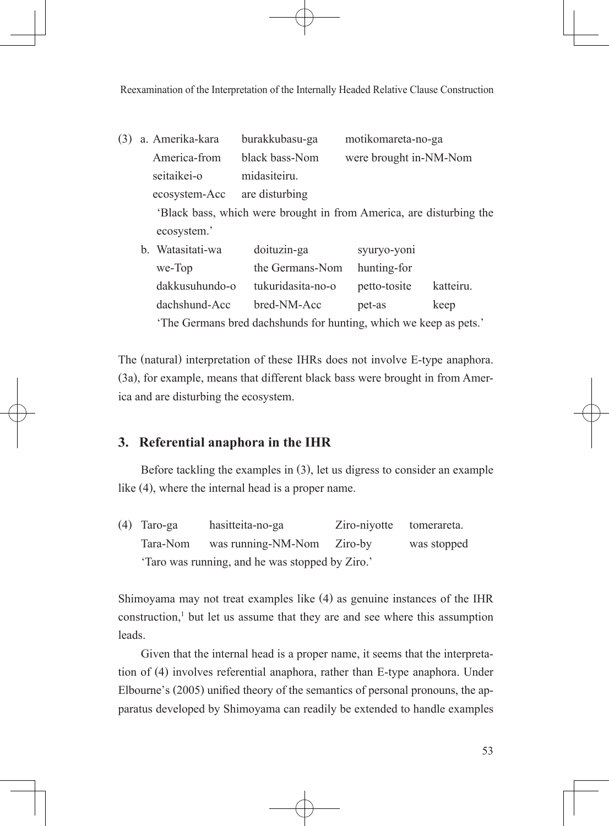Reexamination of the Interpretation of the Internally Headed Relative Clause Construction

(3) a. Amerika-kara burakkubasu-ga motikomareta-no-ga America-from black bass-Nom were brought in-NM-Nom seitaikei-o midasiteiru. ecosystem-Acc are disturbing 'Black bass, which were brought in from America, are disturbing the ecosystem.' b. Watasitati-wa doituzin-ga syuryo-yoni we-Top the Germans-Nom hunting-for

 dakkusuhundo-o tukuridasita-no-o petto-tosite katteiru. dachshund-Acc bred-NM-Acc pet-as keep 'The Germans bred dachshunds for hunting, which we keep as pets.'

The (natural) interpretation of these IHRs does not involve E-type anaphora. (3a), for example, means that different black bass were brought in from America and are disturbing the ecosystem.

## **3. Referential anaphora in the IHR**

 Before tackling the examples in (3), let us digress to consider an example like (4), where the internal head is a proper name.

(4) Taro-ga hasitteita-no-ga Ziro-niyotte tomerareta. Tara-Nom was running-NM-Nom Ziro-by was stopped 'Taro was running, and he was stopped by Ziro.'

Shimoyama may not treat examples like (4) as genuine instances of the IHR  $constant$ , but let us assume that they are and see where this assumption leads.

 Given that the internal head is a proper name, it seems that the interpretation of (4) involves referential anaphora, rather than E-type anaphora. Under Elbourne's (2005) unified theory of the semantics of personal pronouns, the apparatus developed by Shimoyama can readily be extended to handle examples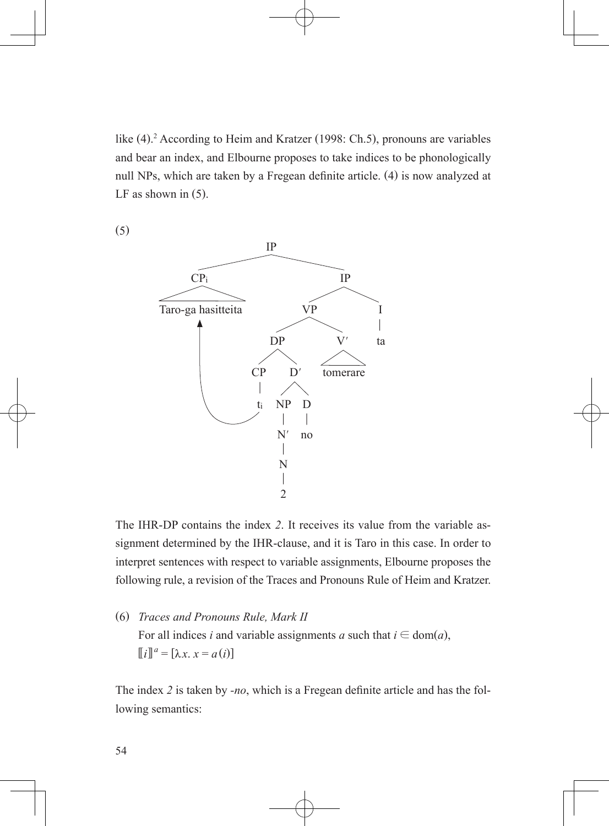like (4). 2 According to Heim and Kratzer (1998: Ch.5), pronouns are variables and bear an index, and Elbourne proposes to take indices to be phonologically null NPs, which are taken by a Fregean definite article. (4) is now analyzed at LF as shown in (5).

(5)



The IHR-DP contains the index *2*. It receives its value from the variable assignment determined by the IHR-clause, and it is Taro in this case. In order to interpret sentences with respect to variable assignments, Elbourne proposes the following rule, a revision of the Traces and Pronouns Rule of Heim and Kratzer.

(6) *Traces and Pronouns Rule, Mark II* For all indices *i* and variable assignments *a* such that  $i \in \text{dom}(a)$ ,  $[[i]]^a = [\lambda x \cdot x = a(i)]$ 

The index *2* is taken by *-no*, which is a Fregean definite article and has the following semantics: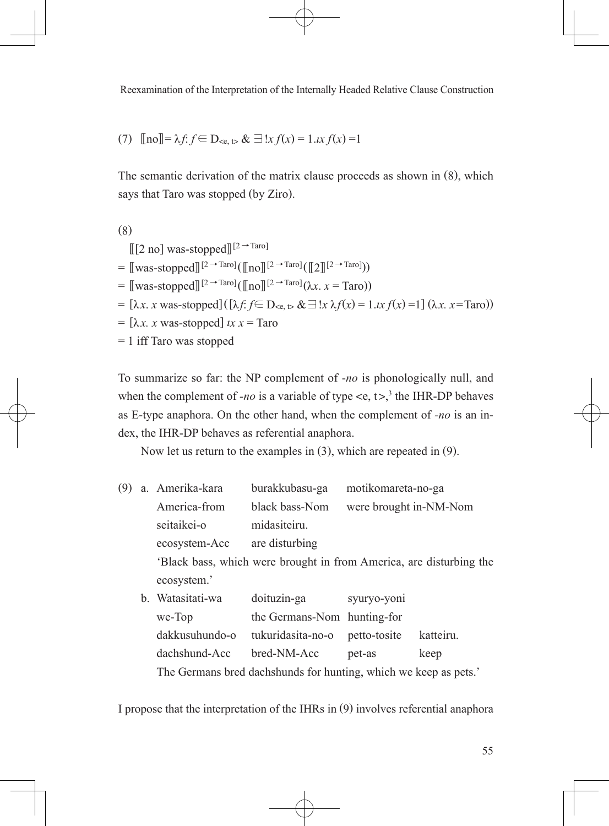Reexamination of the Interpretation of the Internally Headed Relative Clause Construction

(7) 
$$
\text{[no]} = \lambda f
$$
:  $f \in D_{\leq c, \, t} \& \exists !x f(x) = 1.x f(x) = 1$ 

The semantic derivation of the matrix clause proceeds as shown in (8), which says that Taro was stopped (by Ziro).

```
(8)
      [[2 \text{ mol was-stonned}][2 \rightarrow \text{Taro}]=\left[\!\left[\text{was-stonned}\right]\!\right][2 \rightarrow \text{Taro}\right] \left(\left[\!\left[\text{no}\right]\!\right][2 \rightarrow \text{Taro}\right] \left(\left[\!\left[\text{no}\right]\!\right][2 \rightarrow \text{Taro}\right])\right)= \left[\text{was-stopped}\right]\left[\frac{2 \rightarrow \text{Taro}}{\ln 0}\right] \left(\left[\text{no}\right]\left[\frac{2 \rightarrow \text{Taro}}{\ln 0}\right]\left(\lambda x \right] x = \text{Taro}}\right)= [\lambda x. x was-stopped]([\lambda f. f \in D_{\leq \epsilon, \leq \epsilon} \& \exists ! x \lambda f(x) = 1. x f(x) = 1] (\lambda x. x = \text{Taro}))
= [\lambda x. x was-stopped] ix x = Taro
= 1 iff Taro was stopped
```
To summarize so far: the NP complement of -*no* is phonologically null, and when the complement of *-no* is a variable of type  $\langle e, t \rangle^3$ , the IHR-DP behaves as E-type anaphora. On the other hand, when the complement of *-no* is an index, the IHR-DP behaves as referential anaphora.

Now let us return to the examples in (3), which are repeated in (9).

- (9) a. Amerika-kara burakkubasu-ga motikomareta-no-ga America-from black bass-Nom were brought in-NM-Nom seitaikei-o midasiteiru. ecosystem-Acc are disturbing 'Black bass, which were brought in from America, are disturbing the ecosystem.'
	- b. Watasitati-wa doituzin-ga syuryo-yoni we-Top the Germans-Nom hunting-for dakkusuhundo-o tukuridasita-no-o petto-tosite katteiru. dachshund-Acc bred-NM-Acc pet-as keep The Germans bred dachshunds for hunting, which we keep as pets.'

I propose that the interpretation of the IHRs in (9) involves referential anaphora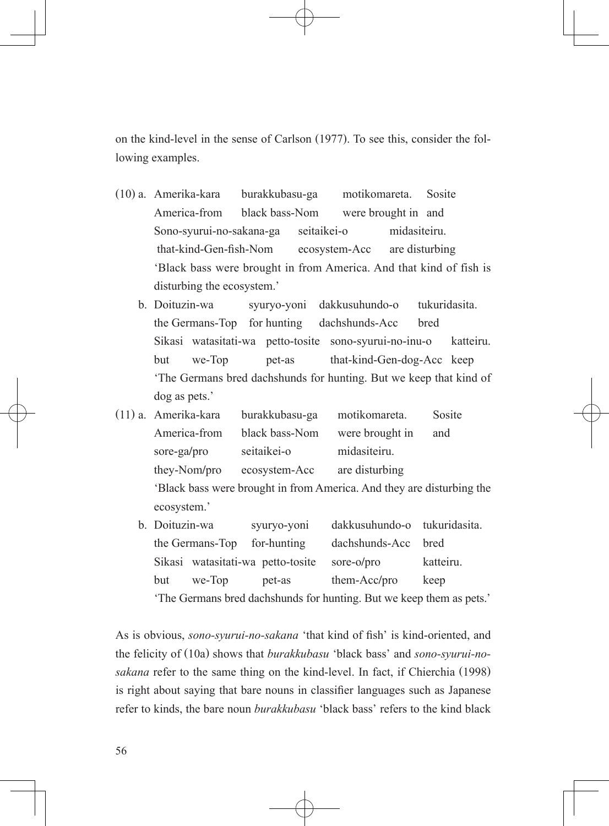on the kind-level in the sense of Carlson (1977). To see this, consider the following examples.

- (10) a. Amerika-kara burakkubasu-ga motikomareta. Sosite America-from black bass-Nom were brought in and Sono-syurui-no-sakana-ga seitaikei-o midasiteiru.        that-kind-Gen-fish-Nom   ecosystem-Acc  are disturbing 'Black bass were brought in from America. And that kind of fish is disturbing the ecosystem.'
	- b. Doituzin-wa syuryo-yoni dakkusuhundo-o tukuridasita. the Germans-Top for hunting dachshunds-Acc bred Sikasi watasitati-wa petto-tosite sono-syurui-no-inu-o katteiru. but we-Top pet-as that-kind-Gen-dog-Acc keep 'The Germans bred dachshunds for hunting. But we keep that kind of dog as pets.'
- (11) a. Amerika-kara burakkubasu-ga motikomareta. Sosite America-from black bass-Nom were brought in and sore-ga/pro seitaikei-o midasiteiru. they-Nom/pro ecosystem-Acc are disturbing 'Black bass were brought in from America. And they are disturbing the ecosystem.'
	- b. Doituzin-wa syuryo-yoni dakkusuhundo-o tukuridasita. the Germans-Top for-hunting dachshunds-Acc bred Sikasi watasitati-wa petto-tosite sore-o/pro katteiru. but we-Top pet-as them-Acc/pro keep 'The Germans bred dachshunds for hunting. But we keep them as pets.'

As is obvious, *sono-syurui-no-sakana* 'that kind of fish' is kind-oriented, and the felicity of (10a) shows that *burakkubasu* 'black bass' and *sono-syurui-nosakana* refer to the same thing on the kind-level. In fact, if Chierchia (1998) is right about saying that bare nouns in classifier languages such as Japanese  refer to kinds, the bare noun *burakkubasu* 'black bass' refers to the kind black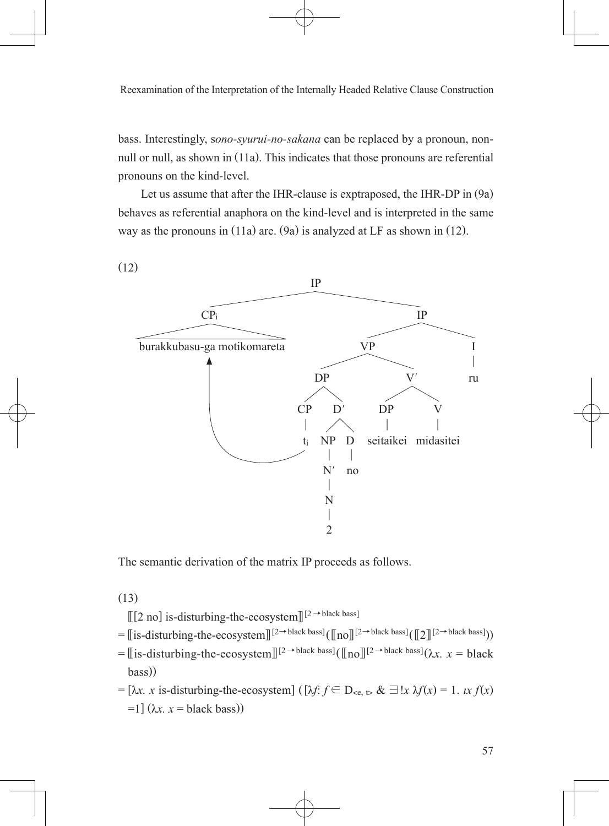bass. Interestingly, s*ono-syurui-no-sakana* can be replaced by a pronoun, nonnull or null, as shown in (11a). This indicates that those pronouns are referential pronouns on the kind-level.

 Let us assume that after the IHR-clause is exptraposed, the IHR-DP in (9a) behaves as referential anaphora on the kind-level and is interpreted in the same way as the pronouns in (11a) are. (9a) is analyzed at LF as shown in (12).



The semantic derivation of the matrix IP proceeds as follows.

(13)

 $[[2 \text{ no}]$  is-disturbing-the-ecosystem $]$ <sup>[2→black bass]</sup>

- $=\int \sin\theta \, dx$  is disturbing-the-ecosystem  $\int \left[2\rightarrow \text{black basis}\right] \left(\ln n\right) \left[2\rightarrow \text{black basis}\right]$
- $=$  [[is-disturbing-the-ecosystem]]<sup>[2→black bass]( $\ln 0$ ][<sup>2→black bass]( $\lambda x$ . *x* = black</sup></sup> bass))
- $=[\lambda x. x \text{ is-disturbing-the-ecosystem}]$  ([ $\lambda f \in D_{\leq \epsilon, \infty} \& \exists !x \lambda f(x) = 1. x f(x)$  $=1$ ] ( $\lambda x$ .  $x =$  black bass))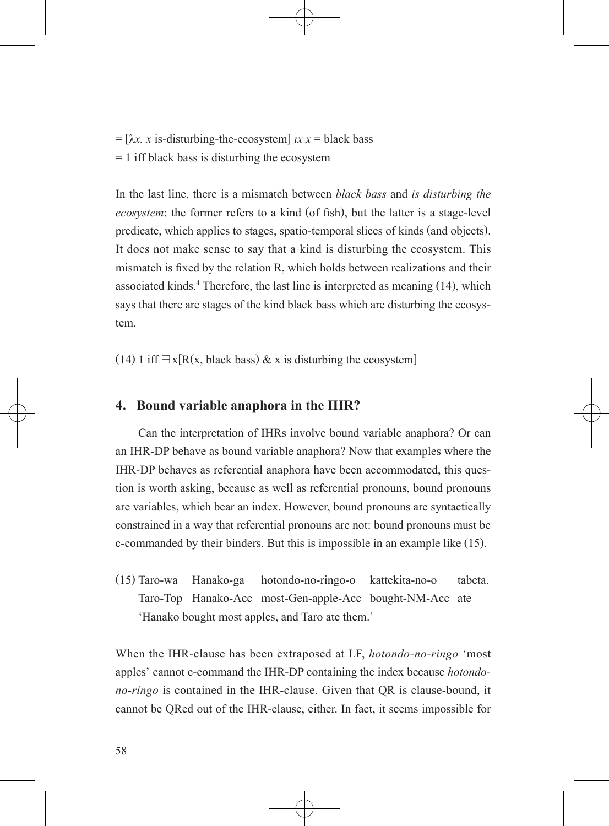$= [\lambda x, x]$  is-disturbing-the-ecosystem]  $\lambda x = \lambda x$  black bass  $= 1$  iff black bass is disturbing the ecosystem

In the last line, there is a mismatch between *black bass* and *is disturbing the ecosystem*: the former refers to a kind (of fish), but the latter is a stage-level predicate, which applies to stages, spatio-temporal slices of kinds (and objects). It does not make sense to say that a kind is disturbing the ecosystem. This mismatch is fixed by the relation R, which holds between realizations and their  associated kinds.<sup>4</sup> Therefore, the last line is interpreted as meaning (14), which says that there are stages of the kind black bass which are disturbing the ecosystem.

(14) 1 iff  $\exists x[R(x, black bass) \& x \text{ is disturbing the ecosystem}]$ 

#### **4. Bound variable anaphora in the IHR?**

 Can the interpretation of IHRs involve bound variable anaphora? Or can an IHR-DP behave as bound variable anaphora? Now that examples where the IHR-DP behaves as referential anaphora have been accommodated, this question is worth asking, because as well as referential pronouns, bound pronouns are variables, which bear an index. However, bound pronouns are syntactically constrained in a way that referential pronouns are not: bound pronouns must be c-commanded by their binders. But this is impossible in an example like (15).

(15) Taro-wa Hanako-ga hotondo-no-ringo-o kattekita-no-o tabeta. Taro-Top Hanako-Acc most-Gen-apple-Acc bought-NM-Acc ate 'Hanako bought most apples, and Taro ate them.'

When the IHR-clause has been extraposed at LF, *hotondo-no-ringo* 'most apples' cannot c-command the IHR-DP containing the index because *hotondono-ringo* is contained in the IHR-clause. Given that QR is clause-bound, it cannot be QRed out of the IHR-clause, either. In fact, it seems impossible for